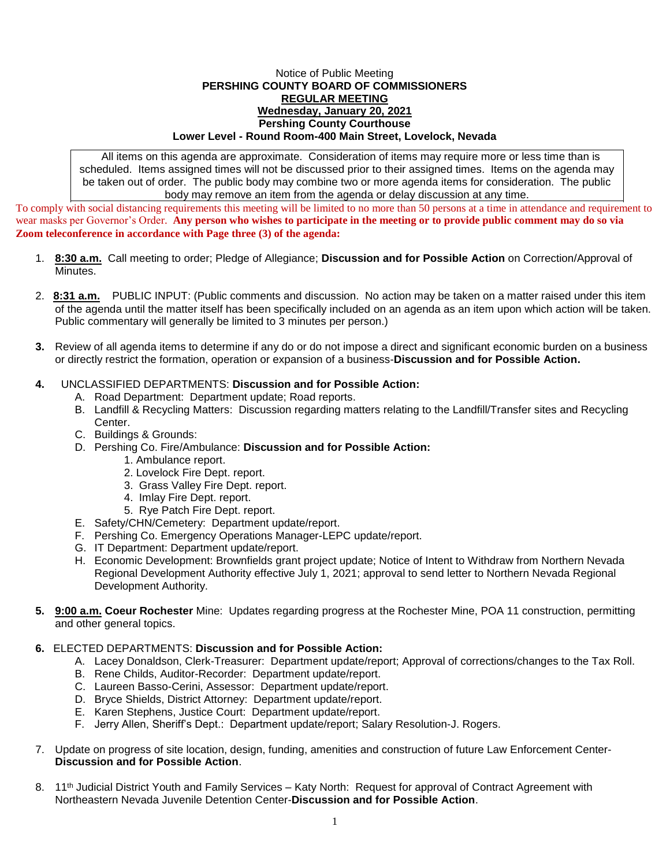## Notice of Public Meeting **PERSHING COUNTY BOARD OF COMMISSIONERS REGULAR MEETING Wednesday, January 20, 2021 Pershing County Courthouse Lower Level - Round Room-400 Main Street, Lovelock, Nevada**

All items on this agenda are approximate. Consideration of items may require more or less time than is scheduled. Items assigned times will not be discussed prior to their assigned times. Items on the agenda may be taken out of order. The public body may combine two or more agenda items for consideration. The public body may remove an item from the agenda or delay discussion at any time.

To comply with social distancing requirements this meeting will be limited to no more than 50 persons at a time in attendance and requirement to wear masks per Governor's Order. **Any person who wishes to participate in the meeting or to provide public comment may do so via Zoom teleconference in accordance with Page three (3) of the agenda:** 

- 1. **8:30 a.m.** Call meeting to order; Pledge of Allegiance; **Discussion and for Possible Action** on Correction/Approval of Minutes.
- 2. **8:31 a.m.** PUBLIC INPUT: (Public comments and discussion. No action may be taken on a matter raised under this item of the agenda until the matter itself has been specifically included on an agenda as an item upon which action will be taken. Public commentary will generally be limited to 3 minutes per person.)
- **3.** Review of all agenda items to determine if any do or do not impose a direct and significant economic burden on a business or directly restrict the formation, operation or expansion of a business-**Discussion and for Possible Action.**

## **4.** UNCLASSIFIED DEPARTMENTS: **Discussion and for Possible Action:**

- A. Road Department: Department update; Road reports.
- B. Landfill & Recycling Matters: Discussion regarding matters relating to the Landfill/Transfer sites and Recycling Center.
- C. Buildings & Grounds:
- D. Pershing Co. Fire/Ambulance: **Discussion and for Possible Action:**
	- 1. Ambulance report.
	- 2. Lovelock Fire Dept. report.
	- 3. Grass Valley Fire Dept. report.
	- 4. Imlay Fire Dept. report.
	- 5. Rye Patch Fire Dept. report.
- E. Safety/CHN/Cemetery: Department update/report.
- F. Pershing Co. Emergency Operations Manager-LEPC update/report.
- G. IT Department: Department update/report.
- H. Economic Development: Brownfields grant project update; Notice of Intent to Withdraw from Northern Nevada Regional Development Authority effective July 1, 2021; approval to send letter to Northern Nevada Regional Development Authority.
- **5. 9:00 a.m. Coeur Rochester** Mine: Updates regarding progress at the Rochester Mine, POA 11 construction, permitting and other general topics.

## **6.** ELECTED DEPARTMENTS: **Discussion and for Possible Action:**

- A. Lacey Donaldson, Clerk-Treasurer: Department update/report; Approval of corrections/changes to the Tax Roll.
- B. Rene Childs, Auditor-Recorder: Department update/report.
- C. Laureen Basso-Cerini, Assessor: Department update/report.
- D. Bryce Shields, District Attorney: Department update/report.
- E. Karen Stephens, Justice Court: Department update/report.
- F. Jerry Allen, Sheriff's Dept.: Department update/report; Salary Resolution-J. Rogers.
- 7. Update on progress of site location, design, funding, amenities and construction of future Law Enforcement Center-**Discussion and for Possible Action**.
- 8. 11<sup>th</sup> Judicial District Youth and Family Services Katy North: Request for approval of Contract Agreement with Northeastern Nevada Juvenile Detention Center-**Discussion and for Possible Action**.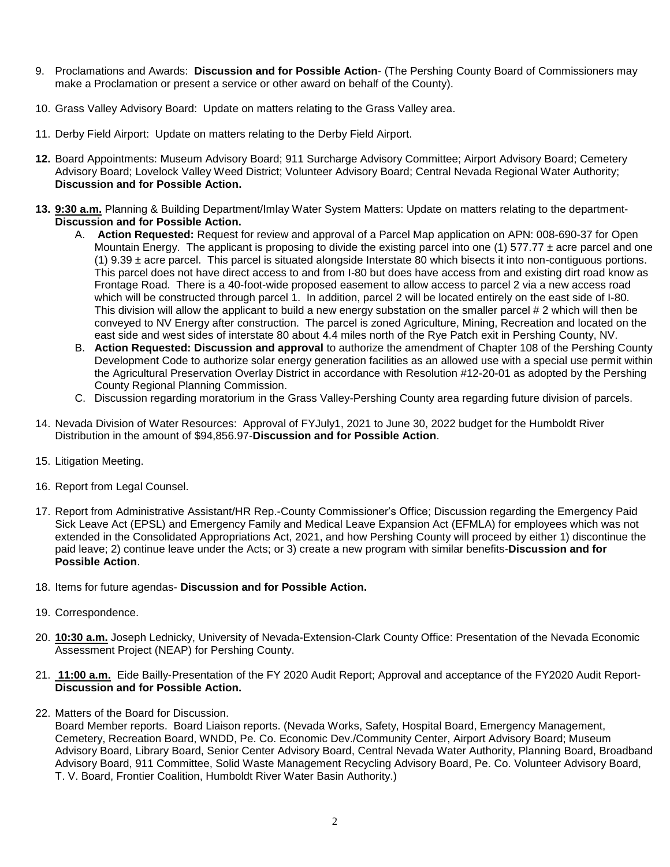- 9. Proclamations and Awards: **Discussion and for Possible Action** (The Pershing County Board of Commissioners may make a Proclamation or present a service or other award on behalf of the County).
- 10. Grass Valley Advisory Board: Update on matters relating to the Grass Valley area.
- 11. Derby Field Airport: Update on matters relating to the Derby Field Airport.
- **12.** Board Appointments: Museum Advisory Board; 911 Surcharge Advisory Committee; Airport Advisory Board; Cemetery Advisory Board; Lovelock Valley Weed District; Volunteer Advisory Board; Central Nevada Regional Water Authority; **Discussion and for Possible Action.**
- **13. 9:30 a.m.** Planning & Building Department/Imlay Water System Matters: Update on matters relating to the department-**Discussion and for Possible Action.**
	- A. **Action Requested:** Request for review and approval of a Parcel Map application on APN: 008-690-37 for Open Mountain Energy. The applicant is proposing to divide the existing parcel into one (1)  $577.77 \pm$  acre parcel and one  $(1)$  9.39  $\pm$  acre parcel. This parcel is situated alongside Interstate 80 which bisects it into non-contiguous portions. This parcel does not have direct access to and from I-80 but does have access from and existing dirt road know as Frontage Road. There is a 40-foot-wide proposed easement to allow access to parcel 2 via a new access road which will be constructed through parcel 1. In addition, parcel 2 will be located entirely on the east side of I-80. This division will allow the applicant to build a new energy substation on the smaller parcel # 2 which will then be conveyed to NV Energy after construction. The parcel is zoned Agriculture, Mining, Recreation and located on the east side and west sides of interstate 80 about 4.4 miles north of the Rye Patch exit in Pershing County, NV.
	- B. **Action Requested: Discussion and approval** to authorize the amendment of Chapter 108 of the Pershing County Development Code to authorize solar energy generation facilities as an allowed use with a special use permit within the Agricultural Preservation Overlay District in accordance with Resolution #12-20-01 as adopted by the Pershing County Regional Planning Commission.
	- C. Discussion regarding moratorium in the Grass Valley-Pershing County area regarding future division of parcels.
- 14. Nevada Division of Water Resources: Approval of FYJuly1, 2021 to June 30, 2022 budget for the Humboldt River Distribution in the amount of \$94,856.97-**Discussion and for Possible Action**.
- 15. Litigation Meeting.
- 16. Report from Legal Counsel.
- 17. Report from Administrative Assistant/HR Rep.-County Commissioner's Office; Discussion regarding the Emergency Paid Sick Leave Act (EPSL) and Emergency Family and Medical Leave Expansion Act (EFMLA) for employees which was not extended in the Consolidated Appropriations Act, 2021, and how Pershing County will proceed by either 1) discontinue the paid leave; 2) continue leave under the Acts; or 3) create a new program with similar benefits-**Discussion and for Possible Action**.
- 18. Items for future agendas- **Discussion and for Possible Action.**
- 19. Correspondence.
- 20. **10:30 a.m.** Joseph Lednicky, University of Nevada-Extension-Clark County Office: Presentation of the Nevada Economic Assessment Project (NEAP) for Pershing County.
- 21. **11:00 a.m.** Eide Bailly-Presentation of the FY 2020 Audit Report; Approval and acceptance of the FY2020 Audit Report-**Discussion and for Possible Action.**
- 22. Matters of the Board for Discussion.

Board Member reports. Board Liaison reports. (Nevada Works, Safety, Hospital Board, Emergency Management, Cemetery, Recreation Board, WNDD, Pe. Co. Economic Dev./Community Center, Airport Advisory Board; Museum Advisory Board, Library Board, Senior Center Advisory Board, Central Nevada Water Authority, Planning Board, Broadband Advisory Board, 911 Committee, Solid Waste Management Recycling Advisory Board, Pe. Co. Volunteer Advisory Board, T. V. Board, Frontier Coalition, Humboldt River Water Basin Authority.)